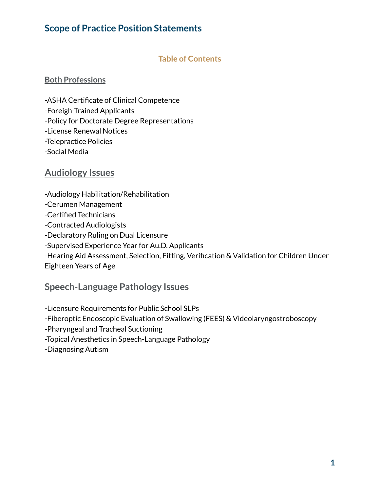# **Scope of Practice Position Statements**

# **Table of Contents**

#### **Both Professions**

-ASHA Certificate of Clinical Competence -Foreigh-Trained Applicants -Policy for Doctorate Degree Representations -License Renewal Notices

-Telepractice Policies

-Social Media

# **Audiology Issues**

-Audiology Habilitation/Rehabilitation

-Cerumen Management

-Certified Technicians

-Contracted Audiologists

-Declaratory Ruling on Dual Licensure

-Supervised Experience Year for Au.D. Applicants

-Hearing Aid Assessment, Selection, Fitting, Verification & Validation for Children Under Eighteen Years of Age

# **Speech-Language Pathology Issues**

-Licensure Requirements for Public School SLPs

-Fiberoptic Endoscopic Evaluation of Swallowing (FEES) & Videolaryngostroboscopy

-Pharyngeal and Tracheal Suctioning

-Topical Anesthetics in Speech-Language Pathology

-Diagnosing Autism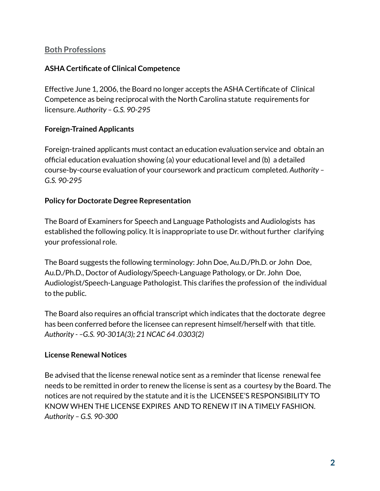# **Both Professions**

#### **ASHA Certificate of Clinical Competence**

Effective June 1, 2006, the Board no longer accepts the ASHA Certificate of Clinical Competence as being reciprocal with the North Carolina statute requirements for licensure. *Authority – G.S. 90-295*

## **Foreign-Trained Applicants**

Foreign-trained applicants must contact an education evaluation service and obtain an official education evaluation showing (a) your educational level and (b) a detailed course-by-course evaluation of your coursework and practicum completed. *Authority – G.S. 90-295*

#### **Policy for Doctorate Degree Representation**

The Board of Examiners for Speech and Language Pathologists and Audiologists has established the following policy. It is inappropriate to use Dr. without further clarifying your professional role.

The Board suggests the following terminology: John Doe, Au.D./Ph.D. or John Doe, Au.D./Ph.D., Doctor of Audiology/Speech-Language Pathology, or Dr. John Doe, Audiologist/Speech-Language Pathologist. This clarifies the profession of the individual to the public.

The Board also requires an official transcript which indicates that the doctorate degree has been conferred before the licensee can represent himself/herself with that title. *Authority - –G.S. 90-301A(3); 21 NCAC 64 .0303(2)*

#### **License Renewal Notices**

Be advised that the license renewal notice sent as a reminder that license renewal fee needs to be remitted in order to renew the license is sent as a courtesy by the Board. The notices are not required by the statute and it is the LICENSEE'S RESPONSIBILITY TO KNOW WHEN THE LICENSE EXPIRES AND TO RENEW IT IN A TIMELY FASHION. *Authority – G.S. 90-300*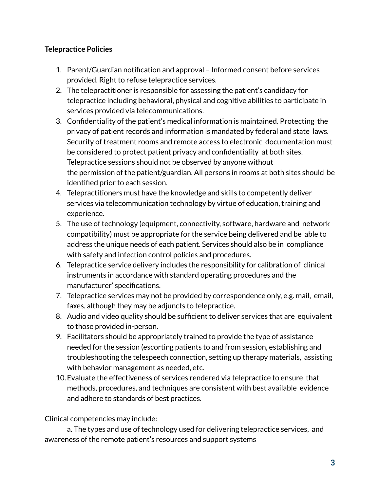# **Telepractice Policies**

- 1. Parent/Guardian notification and approval Informed consent before services provided. Right to refuse telepractice services.
- 2. The telepractitioner is responsible for assessing the patient's candidacy for telepractice including behavioral, physical and cognitive abilities to participate in services provided via telecommunications.
- 3. Confidentiality of the patient's medical information is maintained. Protecting the privacy of patient records and information is mandated by federal and state laws. Security of treatment rooms and remote access to electronic documentation must be considered to protect patient privacy and confidentiality at both sites. Telepractice sessions should not be observed by anyone without the permission of the patient/guardian. All persons in rooms at both sites should be identified prior to each session.
- 4. Telepractitioners must have the knowledge and skills to competently deliver services via telecommunication technology by virtue of education, training and experience.
- 5. The use of technology (equipment, connectivity, software, hardware and network compatibility) must be appropriate for the service being delivered and be able to address the unique needs of each patient. Services should also be in compliance with safety and infection control policies and procedures.
- 6. Telepractice service delivery includes the responsibility for calibration of clinical instruments in accordance with standard operating procedures and the manufacturer' specifications.
- 7. Telepractice services may not be provided by correspondence only, e.g. mail, email, faxes, although they may be adjuncts to telepractice.
- 8. Audio and video quality should be sufficient to deliver services that are equivalent to those provided in-person.
- 9. Facilitators should be appropriately trained to provide the type of assistance needed for the session (escorting patients to and from session, establishing and troubleshooting the telespeech connection, setting up therapy materials, assisting with behavior management as needed, etc.
- 10.Evaluate the effectiveness of services rendered via telepractice to ensure that methods, procedures, and techniques are consistent with best available evidence and adhere to standards of best practices.

Clinical competencies may include:

a. The types and use of technology used for delivering telepractice services, and awareness of the remote patient's resources and support systems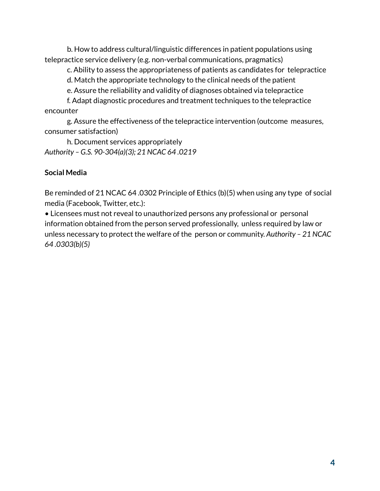b. How to address cultural/linguistic differences in patient populations using telepractice service delivery (e.g. non-verbal communications, pragmatics)

c. Ability to assess the appropriateness of patients as candidates for telepractice

d. Match the appropriate technology to the clinical needs of the patient

e. Assure the reliability and validity of diagnoses obtained via telepractice

f. Adapt diagnostic procedures and treatment techniques to the telepractice encounter

g. Assure the effectiveness of the telepractice intervention (outcome measures, consumer satisfaction)

h. Document services appropriately *Authority – G.S. 90-304(a)(3); 21 NCAC 64 .0219*

## **Social Media**

Be reminded of 21 NCAC 64 .0302 Principle of Ethics (b)(5) when using any type of social media (Facebook, Twitter, etc.):

• Licensees must not reveal to unauthorized persons any professional or personal information obtained from the person served professionally, unless required by law or unless necessary to protect the welfare of the person or community. *Authority – 21 NCAC 64 .0303(b)(5)*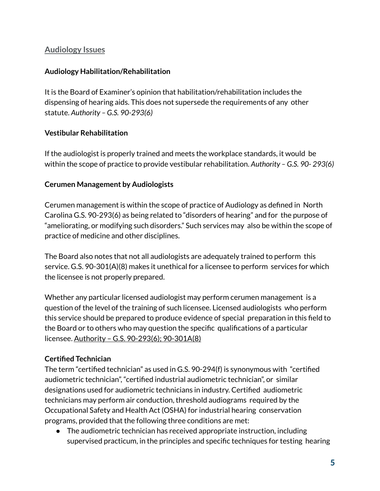# **Audiology Issues**

# **Audiology Habilitation/Rehabilitation**

It is the Board of Examiner's opinion that habilitation/rehabilitation includes the dispensing of hearing aids. This does not supersede the requirements of any other statute. *Authority – G.S. 90-293(6)*

## **Vestibular Rehabilitation**

If the audiologist is properly trained and meets the workplace standards, it would be within the scope of practice to provide vestibular rehabilitation. *Authority – G.S. 90- 293(6)*

#### **Cerumen Management by Audiologists**

Cerumen management is within the scope of practice of Audiology as defined in North Carolina G.S. 90-293(6) as being related to "disorders of hearing" and for the purpose of "ameliorating, or modifying such disorders." Such services may also be within the scope of practice of medicine and other disciplines.

The Board also notes that not all audiologists are adequately trained to perform this service. G.S. 90-301(A)(8) makes it unethical for a licensee to perform services for which the licensee is not properly prepared.

Whether any particular licensed audiologist may perform cerumen management is a question of the level of the training of such licensee. Licensed audiologists who perform this service should be prepared to produce evidence of special preparation in this field to the Board or to others who may question the specific qualifications of a particular licensee. Authority – G.S. 90-293(6); 90-301A(8)

# **Certified Technician**

The term "certified technician" as used in G.S. 90-294(f) is synonymous with "certified audiometric technician", "certified industrial audiometric technician", or similar designations used for audiometric technicians in industry. Certified audiometric technicians may perform air conduction, threshold audiograms required by the Occupational Safety and Health Act (OSHA) for industrial hearing conservation programs, provided that the following three conditions are met:

● The audiometric technician has received appropriate instruction, including supervised practicum, in the principles and specific techniques for testing hearing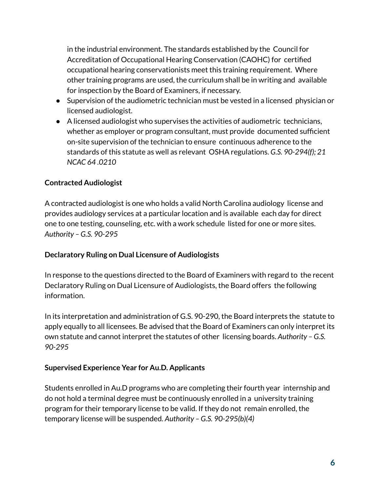in the industrial environment. The standards established by the Council for Accreditation of Occupational Hearing Conservation (CAOHC) for certified occupational hearing conservationists meet this training requirement. Where other training programs are used, the curriculum shall be in writing and available for inspection by the Board of Examiners, if necessary.

- Supervision of the audiometric technician must be vested in a licensed physician or licensed audiologist.
- A licensed audiologist who supervises the activities of audiometric technicians, whether as employer or program consultant, must provide documented sufficient on-site supervision of the technician to ensure continuous adherence to the standards of this statute as well as relevant OSHA regulations. *G.S. 90-294(f); 21 NCAC 64 .0210*

# **Contracted Audiologist**

A contracted audiologist is one who holds a valid North Carolina audiology license and provides audiology services at a particular location and is available each day for direct one to one testing, counseling, etc. with a work schedule listed for one or more sites. *Authority – G.S. 90-295*

#### **Declaratory Ruling on Dual Licensure of Audiologists**

In response to the questions directed to the Board of Examiners with regard to the recent Declaratory Ruling on Dual Licensure of Audiologists, the Board offers the following information.

In its interpretation and administration of G.S. 90-290, the Board interprets the statute to apply equally to all licensees. Be advised that the Board of Examiners can only interpret its own statute and cannot interpret the statutes of other licensing boards. *Authority – G.S. 90-295*

#### **Supervised Experience Year for Au.D. Applicants**

Students enrolled in Au.D programs who are completing their fourth year internship and do not hold a terminal degree must be continuously enrolled in a university training program for their temporary license to be valid. If they do not remain enrolled, the temporary license will be suspended. *Authority – G.S. 90-295(b)(4)*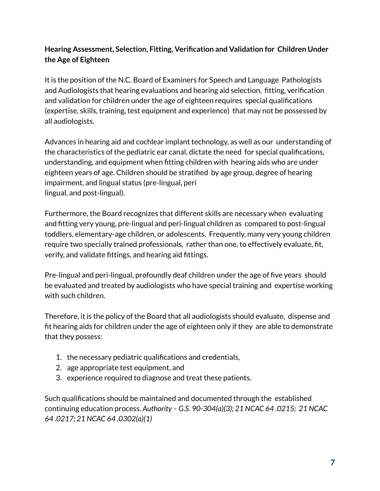# **Hearing Assessment, Selection, Fitting, Verification and Validation for Children Under the Age of Eighteen**

It is the position of the N.C. Board of Examiners for Speech and Language Pathologists and Audiologists that hearing evaluations and hearing aid selection, fitting, verification and validation for children under the age of eighteen requires special qualifications (expertise, skills, training, test equipment and experience) that may not be possessed by all audiologists.

Advances in hearing aid and cochlear implant technology, as well as our understanding of the characteristics of the pediatric ear canal, dictate the need for special qualifications, understanding, and equipment when fitting children with hearing aids who are under eighteen years of age. Children should be stratified by age group, degree of hearing impairment, and lingual status (pre-lingual, peri lingual, and post-lingual).

Furthermore, the Board recognizes that different skills are necessary when evaluating and fitting very young, pre-lingual and peri-lingual children as compared to post-lingual toddlers, elementary-age children, or adolescents. Frequently, many very young children require two specially trained professionals, rather than one, to effectively evaluate, fit, verify, and validate fittings, and hearing aid fittings.

Pre-lingual and peri-lingual, profoundly deaf children under the age of five years should be evaluated and treated by audiologists who have special training and expertise working with such children.

Therefore, it is the policy of the Board that all audiologists should evaluate, dispense and fit hearing aids for children under the age of eighteen only if they are able to demonstrate that they possess:

- 1. the necessary pediatric qualifications and credentials,
- 2. age appropriate test equipment, and
- 3. experience required to diagnose and treat these patients.

Such qualifications should be maintained and documented through the established continuing education process. *Authority – G.S. 90-304(a)(3); 21 NCAC 64 .0215; 21 NCAC 64 .0217; 21 NCAC 64 .0302(a)(1)*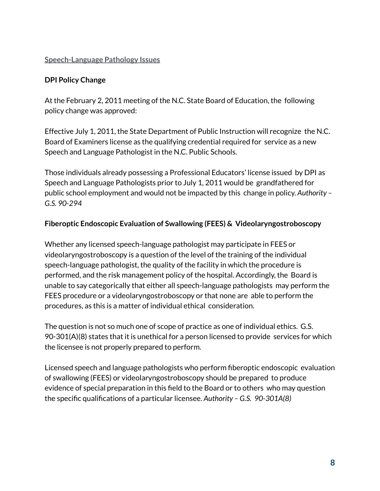# **Speech-Language Pathology Issues**

# **DPI Policy Change**

At the February 2, 2011 meeting of the N.C. State Board of Education, the following policy change was approved:

Effective July 1, 2011, the State Department of Public Instruction will recognize the N.C. Board of Examiners license as the qualifying credential required for service as a new Speech and Language Pathologist in the N.C. Public Schools.

Those individuals already possessing a Professional Educators' license issued by DPI as Speech and Language Pathologists prior to July 1, 2011 would be grandfathered for public school employment and would not be impacted by this change in policy. *Authority – G.S. 90-294*

#### **Fiberoptic Endoscopic Evaluation of Swallowing (FEES) & Videolaryngostroboscopy**

Whether any licensed speech-language pathologist may participate in FEES or videolaryngostroboscopy is a question of the level of the training of the individual speech-language pathologist, the quality of the facility in which the procedure is performed, and the risk management policy of the hospital. Accordingly, the Board is unable to say categorically that either all speech-language pathologists may perform the FEES procedure or a videolaryngostroboscopy or that none are able to perform the procedures, as this is a matter of individual ethical consideration.

The question is not so much one of scope of practice as one of individual ethics. G.S. 90-301(A)(8) states that it is unethical for a person licensed to provide services for which the licensee is not properly prepared to perform.

Licensed speech and language pathologists who perform fiberoptic endoscopic evaluation of swallowing (FEES) or videolaryngostroboscopy should be prepared to produce evidence of special preparation in this field to the Board or to others who may question the specific qualifications of a particular licensee. *Authority – G.S. 90-301A(8)*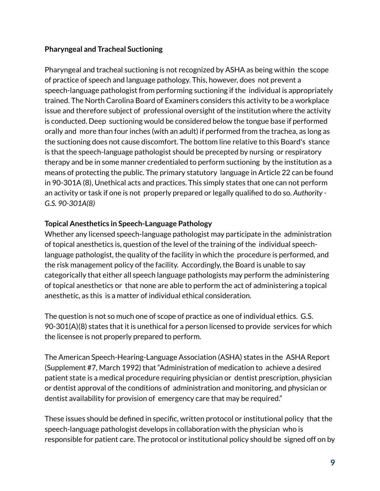## **Pharyngeal and Tracheal Suctioning**

Pharyngeal and tracheal suctioning is not recognized by ASHA as being within the scope of practice of speech and language pathology. This, however, does not prevent a speech-language pathologist from performing suctioning if the individual is appropriately trained. The North Carolina Board of Examiners considers this activity to be a workplace issue and therefore subject of professional oversight of the institution where the activity is conducted. Deep suctioning would be considered below the tongue base if performed orally and more than four inches (with an adult) if performed from the trachea, as long as the suctioning does not cause discomfort. The bottom line relative to this Board's stance is that the speech-language pathologist should be precepted by nursing or respiratory therapy and be in some manner credentialed to perform suctioning by the institution as a means of protecting the public. The primary statutory language in Article 22 can be found in 90-301A (8), Unethical acts and practices. This simply states that one can not perform an activity or task if one is not properly prepared or legally qualified to do so. *Authority - G.S. 90-301A(8)*

## **Topical Anesthetics in Speech-Language Pathology**

Whether any licensed speech-language pathologist may participate in the administration of topical anesthetics is, question of the level of the training of the individual speechlanguage pathologist, the quality of the facility in which the procedure is performed, and the risk management policy of the facility. Accordingly, the Board is unable to say categorically that either all speech language pathologists may perform the administering of topical anesthetics or that none are able to perform the act of administering a topical anesthetic, as this is a matter of individual ethical consideration.

The question is not so much one of scope of practice as one of individual ethics. G.S. 90-301(A)(8) states that it is unethical for a person licensed to provide services for which the licensee is not properly prepared to perform.

The American Speech-Hearing-Language Association (ASHA) states in the ASHA Report (Supplement #7, March 1992) that "Administration of medication to achieve a desired patient state is a medical procedure requiring physician or dentist prescription, physician or dentist approval of the conditions of administration and monitoring, and physician or dentist availability for provision of emergency care that may be required."

These issues should be defined in specific, written protocol or institutional policy that the speech-language pathologist develops in collaboration with the physician who is responsible for patient care. The protocol or institutional policy should be signed off on by